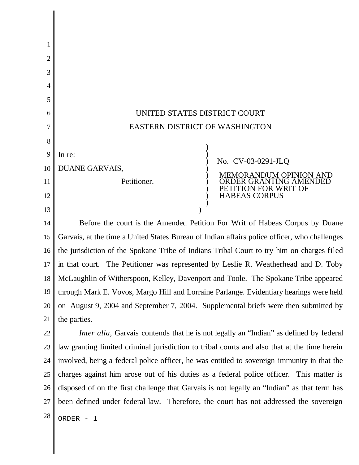| 1        |                                                                                                                                                                                     |
|----------|-------------------------------------------------------------------------------------------------------------------------------------------------------------------------------------|
| 2        |                                                                                                                                                                                     |
| 3        |                                                                                                                                                                                     |
| 4        |                                                                                                                                                                                     |
| 5        |                                                                                                                                                                                     |
| 6        | UNITED STATES DISTRICT COURT                                                                                                                                                        |
|          | <b>EASTERN DISTRICT OF WASHINGTON</b>                                                                                                                                               |
| 8        |                                                                                                                                                                                     |
| 9        | In re:<br>No. CV-03-0291-JLQ                                                                                                                                                        |
| 10       | DUANE GARVAIS,<br>RANDUM OPINION AND                                                                                                                                                |
| 11       | Petitioner.<br>ON FOR WRIT OF                                                                                                                                                       |
| 12       | <b>HABEAS CORPUS</b>                                                                                                                                                                |
| 13<br>14 | Before the court is the Amended Petition For Writ of Habeas Corpus by Duane                                                                                                         |
| 15       | Garvais, at the time a United States Bureau of Indian affairs police officer, who challenges                                                                                        |
| 16       | the jurisdiction of the Spokane Tribe of Indians Tribal Court to try him on charges filed                                                                                           |
| 17       | in that court. The Petitioner was represented by Leslie R. Weatherhead and D. Toby                                                                                                  |
| 18       |                                                                                                                                                                                     |
| 19       | McLaughlin of Witherspoon, Kelley, Davenport and Toole. The Spokane Tribe appeared<br>through Mark E. Vovos, Margo Hill and Lorraine Parlange. Evidentiary hearings were held       |
| 20       | on August 9, 2004 and September 7, 2004. Supplemental briefs were then submitted by                                                                                                 |
| 21       | the parties.                                                                                                                                                                        |
| 22       | <i>Inter alia</i> , Garvais contends that he is not legally an "Indian" as defined by federal                                                                                       |
| 23       | law granting limited criminal jurisdiction to tribal courts and also that at the time herein                                                                                        |
| 24       | involved, being a federal police officer, he was entitled to sovereign immunity in that the                                                                                         |
| 25       |                                                                                                                                                                                     |
| 26       | charges against him arose out of his duties as a federal police officer. This matter is                                                                                             |
| 27       | disposed of on the first challenge that Garvais is not legally an "Indian" as that term has<br>been defined under federal law. Therefore, the court has not addressed the sovereign |
|          |                                                                                                                                                                                     |
| 28       | ORDER - 1                                                                                                                                                                           |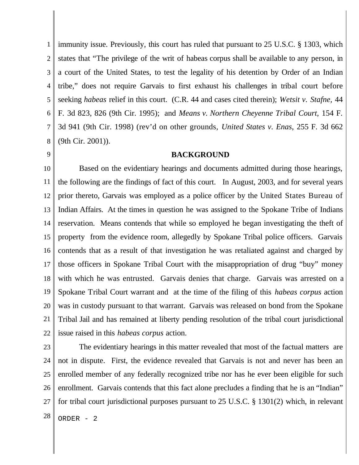1 2 3 4 5 6 7 8 immunity issue. Previously, this court has ruled that pursuant to 25 U.S.C. § 1303, which states that "The privilege of the writ of habeas corpus shall be available to any person, in a court of the United States, to test the legality of his detention by Order of an Indian tribe," does not require Garvais to first exhaust his challenges in tribal court before seeking *habeas* relief in this court. (C.R. 44 and cases cited therein); *Wetsit v. Stafne,* 44 F. 3d 823, 826 (9th Cir. 1995); and *Means v. Northern Cheyenne Tribal Court*, 154 F. 3d 941 (9th Cir. 1998) (rev'd on other grounds, *United States v. Enas*, 255 F. 3d 662 (9th Cir. 2001)).

## **BACKGROUND**

9

10 11 12 13 14 15 16 17 18 19 20 21 22 Based on the evidentiary hearings and documents admitted during those hearings, the following are the findings of fact of this court. In August, 2003, and for several years prior thereto, Garvais was employed as a police officer by the United States Bureau of Indian Affairs. At the times in question he was assigned to the Spokane Tribe of Indians reservation. Means contends that while so employed he began investigating the theft of property from the evidence room, allegedly by Spokane Tribal police officers. Garvais contends that as a result of that investigation he was retaliated against and charged by those officers in Spokane Tribal Court with the misappropriation of drug "buy" money with which he was entrusted. Garvais denies that charge. Garvais was arrested on a Spokane Tribal Court warrant and at the time of the filing of this *habeas corpus* action was in custody pursuant to that warrant. Garvais was released on bond from the Spokane Tribal Jail and has remained at liberty pending resolution of the tribal court jurisdictional issue raised in this *habeas corpus* action.

23 24 25 26 27  $28$  ORDER - 2 The evidentiary hearings in this matter revealed that most of the factual matters are not in dispute. First, the evidence revealed that Garvais is not and never has been an enrolled member of any federally recognized tribe nor has he ever been eligible for such enrollment. Garvais contends that this fact alone precludes a finding that he is an "Indian" for tribal court jurisdictional purposes pursuant to 25 U.S.C. § 1301(2) which, in relevant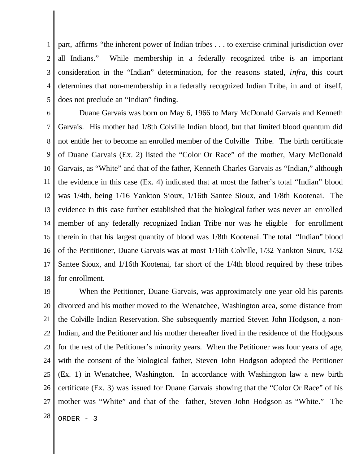1 2 3 4 5 part, affirms "the inherent power of Indian tribes . . . to exercise criminal jurisdiction over all Indians." While membership in a federally recognized tribe is an important consideration in the "Indian" determination, for the reasons stated, *infra,* this court determines that non-membership in a federally recognized Indian Tribe, in and of itself, does not preclude an "Indian" finding.

6 7 8 9 10 11 12 13 14 15 16 17 18 Duane Garvais was born on May 6, 1966 to Mary McDonald Garvais and Kenneth Garvais. His mother had 1/8th Colville Indian blood, but that limited blood quantum did not entitle her to become an enrolled member of the Colville Tribe. The birth certificate of Duane Garvais (Ex. 2) listed the "Color Or Race" of the mother, Mary McDonald Garvais, as "White" and that of the father, Kenneth Charles Garvais as "Indian," although the evidence in this case (Ex. 4) indicated that at most the father's total "Indian" blood was 1/4th, being 1/16 Yankton Sioux, 1/16th Santee Sioux, and 1/8th Kootenai. The evidence in this case further established that the biological father was never an enrolled member of any federally recognized Indian Tribe nor was he eligible for enrollment therein in that his largest quantity of blood was 1/8th Kootenai. The total "Indian" blood of the Petititioner, Duane Garvais was at most 1/16th Colville, 1/32 Yankton Sioux, 1/32 Santee Sioux, and 1/16th Kootenai, far short of the 1/4th blood required by these tribes for enrollment.

19 20 21 22 23 24 25 26 27  $28$  ORDER - 3 When the Petitioner, Duane Garvais, was approximately one year old his parents divorced and his mother moved to the Wenatchee, Washington area, some distance from the Colville Indian Reservation. She subsequently married Steven John Hodgson, a non-Indian, and the Petitioner and his mother thereafter lived in the residence of the Hodgsons for the rest of the Petitioner's minority years. When the Petitioner was four years of age, with the consent of the biological father, Steven John Hodgson adopted the Petitioner (Ex. 1) in Wenatchee, Washington. In accordance with Washington law a new birth certificate (Ex. 3) was issued for Duane Garvais showing that the "Color Or Race" of his mother was "White" and that of the father, Steven John Hodgson as "White." The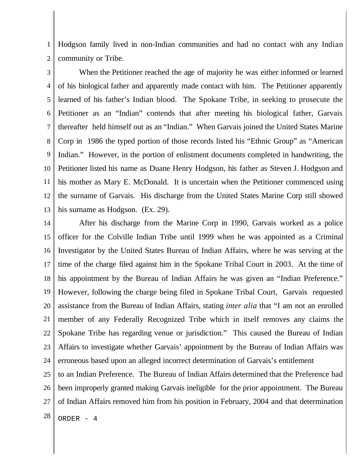1 2 Hodgson family lived in non-Indian communities and had no contact with any Indian community or Tribe.

3 4 5 6 7 8 9 10 11 12 13 When the Petitioner reached the age of majority he was either informed or learned of his biological father and apparently made contact with him. The Petitioner apparently learned of his father's Indian blood. The Spokane Tribe, in seeking to prosecute the Petitioner as an "Indian" contends that after meeting his biological father, Garvais thereafter held himself out as an "Indian." When Garvais joined the United States Marine Corp in 1986 the typed portion of those records listed his "Ethnic Group" as "American Indian." However, in the portion of enlistment documents completed in handwriting, the Petitioner listed his name as Duane Henry Hodgson, his father as Steven J. Hodgson and his mother as Mary E. McDonald. It is uncertain when the Petitioner commenced using the surname of Garvais. His discharge from the United States Marine Corp still showed his surname as Hodgson. (Ex. 29).

14 15 16 17 18 19 20 21 22 23 24 After his discharge from the Marine Corp in 1990, Garvais worked as a police officer for the Colville Indian Tribe until 1999 when he was appointed as a Criminal Investigator by the United States Bureau of Indian Affairs, where he was serving at the time of the charge filed against him in the Spokane Tribal Court in 2003. At the time of his appointment by the Bureau of Indian Affairs he was given an "Indian Preference." However, following the charge being filed in Spokane Tribal Court, Garvais requested assistance from the Bureau of Indian Affairs, stating *inter alia* that "I am not an enrolled member of any Federally Recognized Tribe which in itself removes any claims the Spokane Tribe has regarding venue or jurisdiction." This caused the Bureau of Indian Affairs to investigate whether Garvais' appointment by the Bureau of Indian Affairs was erroneous based upon an alleged incorrect determination of Garvais's entitlement

25 26 27 to an Indian Preference. The Bureau of Indian Affairs determined that the Preference had been improperly granted making Garvais ineligible for the prior appointment. The Bureau of Indian Affairs removed him from his position in February, 2004 and that determination

 $28$  ORDER - 4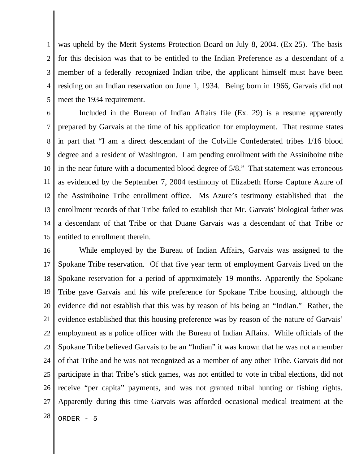1 2 3 4 5 was upheld by the Merit Systems Protection Board on July 8, 2004. (Ex 25). The basis for this decision was that to be entitled to the Indian Preference as a descendant of a member of a federally recognized Indian tribe, the applicant himself must have been residing on an Indian reservation on June 1, 1934. Being born in 1966, Garvais did not meet the 1934 requirement.

6 7 8 9 10 11 12 13 14 15 Included in the Bureau of Indian Affairs file (Ex. 29) is a resume apparently prepared by Garvais at the time of his application for employment. That resume states in part that "I am a direct descendant of the Colville Confederated tribes 1/16 blood degree and a resident of Washington. I am pending enrollment with the Assiniboine tribe in the near future with a documented blood degree of 5/8." That statement was erroneous as evidenced by the September 7, 2004 testimony of Elizabeth Horse Capture Azure of the Assiniboine Tribe enrollment office. Ms Azure's testimony established that the enrollment records of that Tribe failed to establish that Mr. Garvais' biological father was a descendant of that Tribe or that Duane Garvais was a descendant of that Tribe or entitled to enrollment therein.

16 17 18 19 20 21 22 23 24 25 26 27  $28$  ORDER - 5 While employed by the Bureau of Indian Affairs, Garvais was assigned to the Spokane Tribe reservation. Of that five year term of employment Garvais lived on the Spokane reservation for a period of approximately 19 months. Apparently the Spokane Tribe gave Garvais and his wife preference for Spokane Tribe housing, although the evidence did not establish that this was by reason of his being an "Indian." Rather, the evidence established that this housing preference was by reason of the nature of Garvais' employment as a police officer with the Bureau of Indian Affairs. While officials of the Spokane Tribe believed Garvais to be an "Indian" it was known that he was not a member of that Tribe and he was not recognized as a member of any other Tribe. Garvais did not participate in that Tribe's stick games, was not entitled to vote in tribal elections, did not receive "per capita" payments, and was not granted tribal hunting or fishing rights. Apparently during this time Garvais was afforded occasional medical treatment at the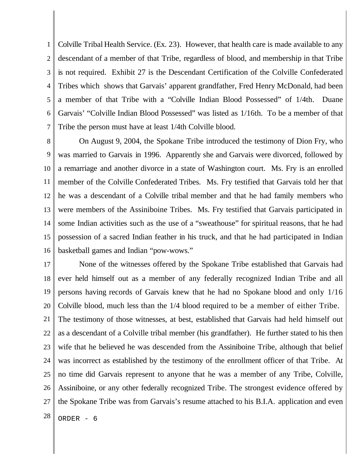1 2 3 4 5 6 7 Colville Tribal Health Service. (Ex. 23). However, that health care is made available to any descendant of a member of that Tribe, regardless of blood, and membership in that Tribe is not required. Exhibit 27 is the Descendant Certification of the Colville Confederated Tribes which shows that Garvais' apparent grandfather, Fred Henry McDonald, had been a member of that Tribe with a "Colville Indian Blood Possessed" of 1/4th. Duane Garvais' "Colville Indian Blood Possessed" was listed as 1/16th. To be a member of that Tribe the person must have at least 1/4th Colville blood.

8 9 10 11 12 13 14 15 16 On August 9, 2004, the Spokane Tribe introduced the testimony of Dion Fry, who was married to Garvais in 1996. Apparently she and Garvais were divorced, followed by a remarriage and another divorce in a state of Washington court. Ms. Fry is an enrolled member of the Colville Confederated Tribes. Ms. Fry testified that Garvais told her that he was a descendant of a Colville tribal member and that he had family members who were members of the Assiniboine Tribes. Ms. Fry testified that Garvais participated in some Indian activities such as the use of a "sweathouse" for spiritual reasons, that he had possession of a sacred Indian feather in his truck, and that he had participated in Indian basketball games and Indian "pow-wows."

17 18 19 20 21 22 23 24 25 26 27 None of the witnesses offered by the Spokane Tribe established that Garvais had ever held himself out as a member of any federally recognized Indian Tribe and all persons having records of Garvais knew that he had no Spokane blood and only 1/16 Colville blood, much less than the 1/4 blood required to be a member of either Tribe. The testimony of those witnesses, at best, established that Garvais had held himself out as a descendant of a Colville tribal member (his grandfather). He further stated to his then wife that he believed he was descended from the Assiniboine Tribe, although that belief was incorrect as established by the testimony of the enrollment officer of that Tribe. At no time did Garvais represent to anyone that he was a member of any Tribe, Colville, Assiniboine, or any other federally recognized Tribe. The strongest evidence offered by the Spokane Tribe was from Garvais's resume attached to his B.I.A. application and even

 $28$  ORDER - 6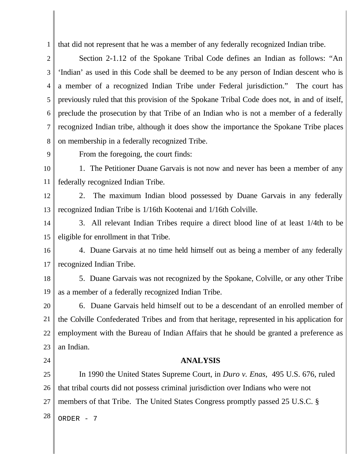1 that did not represent that he was a member of any federally recognized Indian tribe.

2 3 4 5 6 7 8 Section 2-1.12 of the Spokane Tribal Code defines an Indian as follows: "An 'Indian' as used in this Code shall be deemed to be any person of Indian descent who is a member of a recognized Indian Tribe under Federal jurisdiction." The court has previously ruled that this provision of the Spokane Tribal Code does not, in and of itself, preclude the prosecution by that Tribe of an Indian who is not a member of a federally recognized Indian tribe, although it does show the importance the Spokane Tribe places on membership in a federally recognized Tribe.

9

From the foregoing, the court finds:

10 11 1. The Petitioner Duane Garvais is not now and never has been a member of any federally recognized Indian Tribe.

12 13 2. The maximum Indian blood possessed by Duane Garvais in any federally recognized Indian Tribe is 1/16th Kootenai and 1/16th Colville.

14 15 3. All relevant Indian Tribes require a direct blood line of at least 1/4th to be eligible for enrollment in that Tribe.

16 17 4. Duane Garvais at no time held himself out as being a member of any federally recognized Indian Tribe.

18 19 5. Duane Garvais was not recognized by the Spokane, Colville, or any other Tribe as a member of a federally recognized Indian Tribe.

20 21 22 23 6. Duane Garvais held himself out to be a descendant of an enrolled member of the Colville Confederated Tribes and from that heritage, represented in his application for employment with the Bureau of Indian Affairs that he should be granted a preference as an Indian.

24

## **ANALYSIS**

25 26 27  $28$  ORDER - 7 In 1990 the United States Supreme Court, in *Duro v. Enas*, 495 U.S. 676, ruled that tribal courts did not possess criminal jurisdiction over Indians who were not members of that Tribe. The United States Congress promptly passed 25 U.S.C. §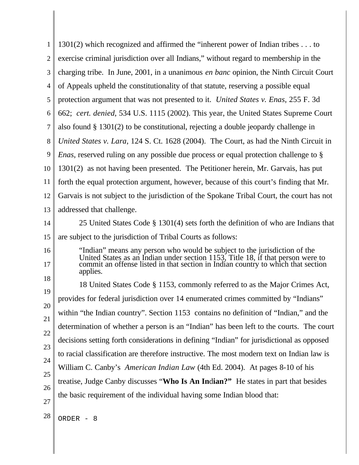| 1        | 1301(2) which recognized and affirmed the "inherent power of Indian tribes to                                                                                                                                                                                |
|----------|--------------------------------------------------------------------------------------------------------------------------------------------------------------------------------------------------------------------------------------------------------------|
| 2        | exercise criminal jurisdiction over all Indians," without regard to membership in the                                                                                                                                                                        |
| 3        | charging tribe. In June, 2001, in a unanimous en banc opinion, the Ninth Circuit Court                                                                                                                                                                       |
| 4        | of Appeals upheld the constitutionality of that statute, reserving a possible equal                                                                                                                                                                          |
| 5        | protection argument that was not presented to it. United States v. Enas, 255 F. 3d                                                                                                                                                                           |
| 6        | 662; cert. denied, 534 U.S. 1115 (2002). This year, the United States Supreme Court                                                                                                                                                                          |
| 7        | also found $\S$ 1301(2) to be constitutional, rejecting a double jeopardy challenge in                                                                                                                                                                       |
| 8        | United States v. Lara, 124 S. Ct. 1628 (2004). The Court, as had the Ninth Circuit in                                                                                                                                                                        |
| 9        | <i>Enas</i> , reserved ruling on any possible due process or equal protection challenge to §                                                                                                                                                                 |
| 10       | 1301(2) as not having been presented. The Petitioner herein, Mr. Garvais, has put                                                                                                                                                                            |
| 11       | forth the equal protection argument, however, because of this court's finding that Mr.                                                                                                                                                                       |
| 12       | Garvais is not subject to the jurisdiction of the Spokane Tribal Court, the court has not                                                                                                                                                                    |
| 13       | addressed that challenge.                                                                                                                                                                                                                                    |
| 14       | 25 United States Code § 1301(4) sets forth the definition of who are Indians that                                                                                                                                                                            |
| 15       | are subject to the jurisdiction of Tribal Courts as follows:                                                                                                                                                                                                 |
| 16<br>17 | "Indian" means any person who would be subject to the jurisdiction of the<br>United States as an Indian under section 1153, Title 18, if that person were to<br>commit an offense listed in that section in Indian country to which that section<br>applies. |
| 18       | 18 United States Code § 1153, commonly referred to as the Major Crimes Act,                                                                                                                                                                                  |
| 19       | provides for federal jurisdiction over 14 enumerated crimes committed by "Indians"                                                                                                                                                                           |
| 20       | within "the Indian country". Section 1153 contains no definition of "Indian," and the                                                                                                                                                                        |
| 21       | determination of whether a person is an "Indian" has been left to the courts. The court                                                                                                                                                                      |
| 22       | decisions setting forth considerations in defining "Indian" for jurisdictional as opposed                                                                                                                                                                    |
| 23       | to racial classification are therefore instructive. The most modern text on Indian law is                                                                                                                                                                    |
| 24       | William C. Canby's American Indian Law (4th Ed. 2004). At pages 8-10 of his                                                                                                                                                                                  |
| 25<br>26 | treatise, Judge Canby discusses "Who Is An Indian?" He states in part that besides                                                                                                                                                                           |
| 27       | the basic requirement of the individual having some Indian blood that:                                                                                                                                                                                       |
| 28       | ORDER -<br>- 8                                                                                                                                                                                                                                               |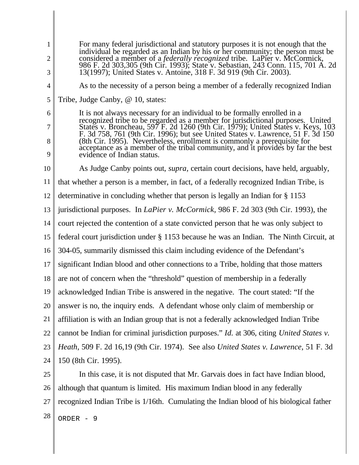1 2 3 4 5 6 7 8 9 10 11 12 13 14 15 16 17 18 19 20 21 22 23 24 25 26 For many federal jurisdictional and statutory purposes it is not enough that the individual be regarded as an Indian by his or her community; the person must be considered a member of a *federally recognized* tribe. LaPier v. McCormick, 986 F. 2d 303,305 (9th Cir. 1993); State v. Sebastian, 243 Conn. 115, 701 A. 2d 13(1997); United States v. Antoine, 318 F. 3d 919 (9th Cir. 2003). As to the necessity of a person being a member of a federally recognized Indian Tribe, Judge Canby, @ 10, states: It is not always necessary for an individual to be formally enrolled in a recognized tribe to be regarded as a member for jurisdictional purposes. United States v. Broncheau, 597 F. 2d 1260 (9th Cir. 1979); United States v. Keys, 103 F. 3d 758, 761 (9th Cir. 1996); but see United States v. Lawrence, 51 F. 3d 150 (8th Cir. 1995). Nevertheless, enrollment is commonly a prerequisite for acceptance as a member of the tribal community, and it provides by far the best evidence of Indian status. As Judge Canby points out, *supra,* certain court decisions, have held, arguably, that whether a person is a member, in fact, of a federally recognized Indian Tribe, is determinative in concluding whether that person is legally an Indian for § 1153 jurisdictional purposes. In *LaPier v. McCormick*, 986 F. 2d 303 (9th Cir. 1993), the court rejected the contention of a state convicted person that he was only subject to federal court jurisdiction under § 1153 because he was an Indian. The Ninth Circuit, at 304-05, summarily dismissed this claim including evidence of the Defendant's significant Indian blood and other connections to a Tribe, holding that those matters are not of concern when the "threshold" question of membership in a federally acknowledged Indian Tribe is answered in the negative. The court stated: "If the answer is no, the inquiry ends. A defendant whose only claim of membership or affiliation is with an Indian group that is not a federally acknowledged Indian Tribe cannot be Indian for criminal jurisdiction purposes." *Id.* at 306, citing *United States v. Heath*, 509 F. 2d 16,19 (9th Cir. 1974). See also *United States v. Lawrence*, 51 F. 3d 150 (8th Cir. 1995). In this case, it is not disputed that Mr. Garvais does in fact have Indian blood, although that quantum is limited. His maximum Indian blood in any federally

27 recognized Indian Tribe is 1/16th. Cumulating the Indian blood of his biological father

 $28$  ORDER - 9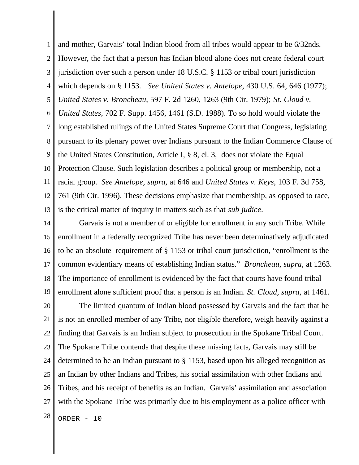1 2 3 4 5 6 7 8 9 10 11 12 13 and mother, Garvais' total Indian blood from all tribes would appear to be 6/32nds. However, the fact that a person has Indian blood alone does not create federal court jurisdiction over such a person under 18 U.S.C. § 1153 or tribal court jurisdiction which depends on § 1153. *See United States v. Antelope*, 430 U.S. 64, 646 (1977); *United States v. Broncheau,* 597 F. 2d 1260, 1263 (9th Cir. 1979); *St. Cloud v. United States*, 702 F. Supp. 1456, 1461 (S.D. 1988). To so hold would violate the long established rulings of the United States Supreme Court that Congress, legislating pursuant to its plenary power over Indians pursuant to the Indian Commerce Clause of the United States Constitution, Article I, § 8, cl. 3, does not violate the Equal Protection Clause. Such legislation describes a political group or membership, not a racial group. *See Antelope, supra,* at 646 and *United States v. Keys*, 103 F. 3d 758, 761 (9th Cir. 1996). These decisions emphasize that membership, as opposed to race, is the critical matter of inquiry in matters such as that *sub judice*.

14 15 16 17 18 19 Garvais is not a member of or eligible for enrollment in any such Tribe. While enrollment in a federally recognized Tribe has never been determinatively adjudicated to be an absolute requirement of § 1153 or tribal court jurisdiction, "enrollment is the common evidentiary means of establishing Indian status." *Broncheau, supra,* at 1263. The importance of enrollment is evidenced by the fact that courts have found tribal enrollment alone sufficient proof that a person is an Indian. *St. Cloud, supra,* at 1461.

20 21 22 23 24 25 26 27  $28$  ORDER - 10 The limited quantum of Indian blood possessed by Garvais and the fact that he is not an enrolled member of any Tribe, nor eligible therefore, weigh heavily against a finding that Garvais is an Indian subject to prosecution in the Spokane Tribal Court. The Spokane Tribe contends that despite these missing facts, Garvais may still be determined to be an Indian pursuant to § 1153, based upon his alleged recognition as an Indian by other Indians and Tribes, his social assimilation with other Indians and Tribes, and his receipt of benefits as an Indian. Garvais' assimilation and association with the Spokane Tribe was primarily due to his employment as a police officer with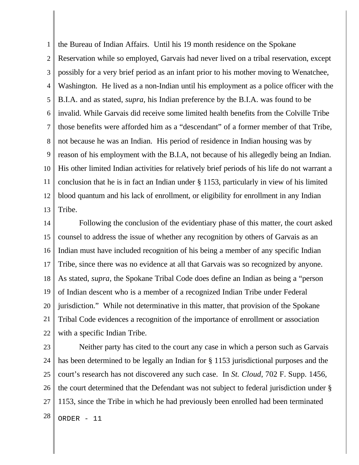1 2 3 4 5 6 7 8 9 10 11 12 13 the Bureau of Indian Affairs. Until his 19 month residence on the Spokane Reservation while so employed, Garvais had never lived on a tribal reservation, except possibly for a very brief period as an infant prior to his mother moving to Wenatchee, Washington. He lived as a non-Indian until his employment as a police officer with the B.I.A. and as stated, *supra,* his Indian preference by the B.I.A. was found to be invalid. While Garvais did receive some limited health benefits from the Colville Tribe those benefits were afforded him as a "descendant" of a former member of that Tribe, not because he was an Indian. His period of residence in Indian housing was by reason of his employment with the B.I.A, not because of his allegedly being an Indian. His other limited Indian activities for relatively brief periods of his life do not warrant a conclusion that he is in fact an Indian under § 1153, particularly in view of his limited blood quantum and his lack of enrollment, or eligibility for enrollment in any Indian Tribe.

14 15 16 17 18 19 20 21 22 Following the conclusion of the evidentiary phase of this matter, the court asked counsel to address the issue of whether any recognition by others of Garvais as an Indian must have included recognition of his being a member of any specific Indian Tribe, since there was no evidence at all that Garvais was so recognized by anyone. As stated, *supra,* the Spokane Tribal Code does define an Indian as being a "person of Indian descent who is a member of a recognized Indian Tribe under Federal jurisdiction." While not determinative in this matter, that provision of the Spokane Tribal Code evidences a recognition of the importance of enrollment or association with a specific Indian Tribe.

23 24 25 26 27  $28$  ORDER - 11 Neither party has cited to the court any case in which a person such as Garvais has been determined to be legally an Indian for § 1153 jurisdictional purposes and the court's research has not discovered any such case. In *St. Cloud*, 702 F. Supp. 1456, the court determined that the Defendant was not subject to federal jurisdiction under § 1153, since the Tribe in which he had previously been enrolled had been terminated